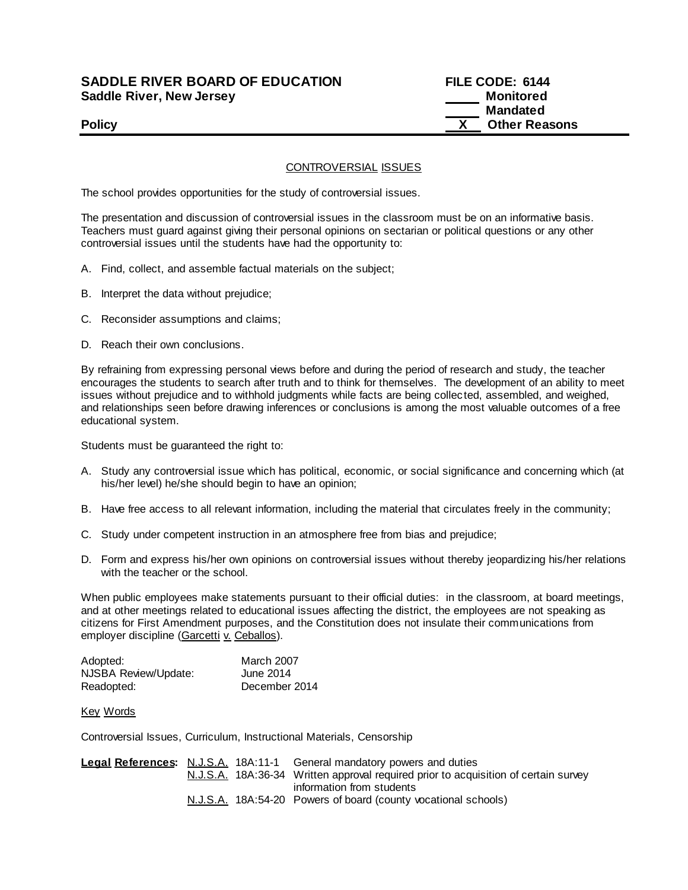# **SADDLE RIVER BOARD OF EDUCATION FILE CODE: 6144 Saddle River, New Jersey Monitored Example 2018 19 No. 2018 19:30 Monitored**

# **Mandated Policy X Other Reasons**

## CONTROVERSIAL ISSUES

The school provides opportunities for the study of controversial issues.

The presentation and discussion of controversial issues in the classroom must be on an informative basis. Teachers must guard against giving their personal opinions on sectarian or political questions or any other controversial issues until the students have had the opportunity to:

- A. Find, collect, and assemble factual materials on the subject;
- B. Interpret the data without prejudice;
- C. Reconsider assumptions and claims;
- D. Reach their own conclusions.

By refraining from expressing personal views before and during the period of research and study, the teacher encourages the students to search after truth and to think for themselves. The development of an ability to meet issues without prejudice and to withhold judgments while facts are being collec ted, assembled, and weighed, and relationships seen before drawing inferences or conclusions is among the most valuable outcomes of a free educational system.

Students must be guaranteed the right to:

- A. Study any controversial issue which has political, economic, or social significance and concerning which (at his/her level) he/she should begin to have an opinion;
- B. Have free access to all relevant information, including the material that circulates freely in the community;
- C. Study under competent instruction in an atmosphere free from bias and prejudice;
- D. Form and express his/her own opinions on controversial issues without thereby jeopardizing his/her relations with the teacher or the school.

When public employees make statements pursuant to their official duties: in the classroom, at board meetings, and at other meetings related to educational issues affecting the district, the employees are not speaking as citizens for First Amendment purposes, and the Constitution does not insulate their communications from employer discipline (Garcetti v. Ceballos).

| Adopted:             | <b>March 2007</b> |
|----------------------|-------------------|
| NJSBA Review/Update: | June 2014         |
| Readopted:           | December 2014     |

#### Key Words

Controversial Issues, Curriculum, Instructional Materials, Censorship

|                           |  |  | <b>Legal References:</b> N.J.S.A. 18A:11-1 General mandatory powers and duties      |
|---------------------------|--|--|-------------------------------------------------------------------------------------|
|                           |  |  | N.J.S.A. 18A:36-34 Written approval required prior to acquisition of certain survey |
| information from students |  |  |                                                                                     |
|                           |  |  | N.J.S.A. 18A:54-20 Powers of board (county vocational schools)                      |